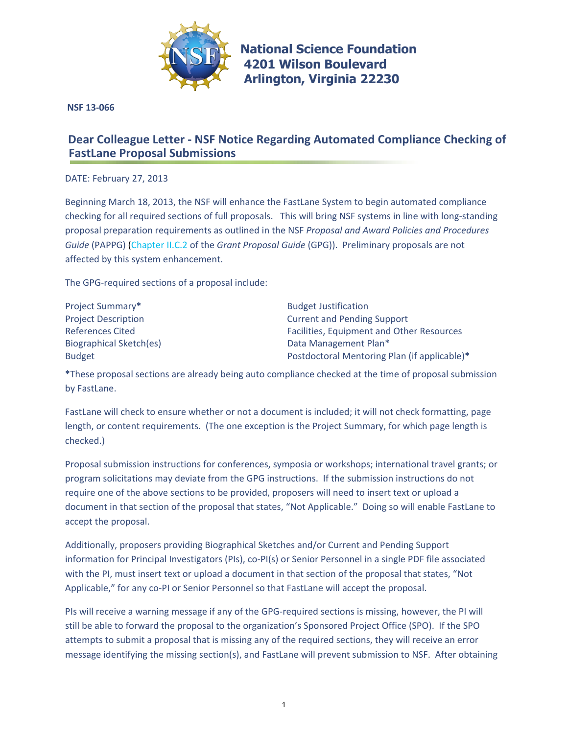

**[National Science Foundation](www.nsf.gov) 4201 Wilson Boulevard Arlington, Virginia 22230** 

 **NSF 13-066**

## **Dear Colleague Letter - NSF Notice Regarding Automated Compliance Checking of FastLane Proposal Submissions**

DATE: February 27, 2013

Beginning March 18, 2013, the NSF will enhance the FastLane System to begin automated compliance checking for all required sections of full proposals. This will bring NSF systems in line with long‐standing proposal preparation requirements as outlined in the NSF *Proposal and Award Policies and Procedures Guide* (PAPPG) (Chapter II.C.2 of the *Grant Proposal Guide* (GPG)). Preliminary proposals are not affected by this system enhancement.

The GPG‐required sections of a proposal include:

| Project Summary*               |  |
|--------------------------------|--|
| <b>Project Description</b>     |  |
| <b>References Cited</b>        |  |
| <b>Biographical Sketch(es)</b> |  |
| <b>Budget</b>                  |  |
|                                |  |

**Budget Justification Current and Pending Support** Facilities, Equipment and Other Resources Data Management Plan\* Postdoctoral Mentoring Plan (if applicable)\*

**\***These proposal sections are already being auto compliance checked at the time of proposal submission by FastLane.

FastLane will check to ensure whether or not a document is included; it will not check formatting, page length, or content requirements. (The one exception is the Project Summary, for which page length is checked.)

Proposal submission instructions for conferences, symposia or workshops; international travel grants; or program solicitations may deviate from the GPG instructions. If the submission instructions do not require one of the above sections to be provided, proposers will need to insert text or upload a document in that section of the proposal that states, "Not Applicable." Doing so will enable FastLane to accept the proposal.

Additionally, proposers providing Biographical Sketches and/or Current and Pending Support information for Principal Investigators (PIs), co-PI(s) or Senior Personnel in a single PDF file associated with the PI, must insert text or upload a document in that section of the proposal that states, "Not Applicable," for any co‐PI or Senior Personnel so that FastLane will accept the proposal.

PIs will receive a warning message if any of the GPG-required sections is missing, however, the PI will still be able to forward the proposal to the organization's Sponsored Project Office (SPO). If the SPO attempts to submit a proposal that is missing any of the required sections, they will receive an error message identifying the missing section(s), and FastLane will prevent submission to NSF. After obtaining